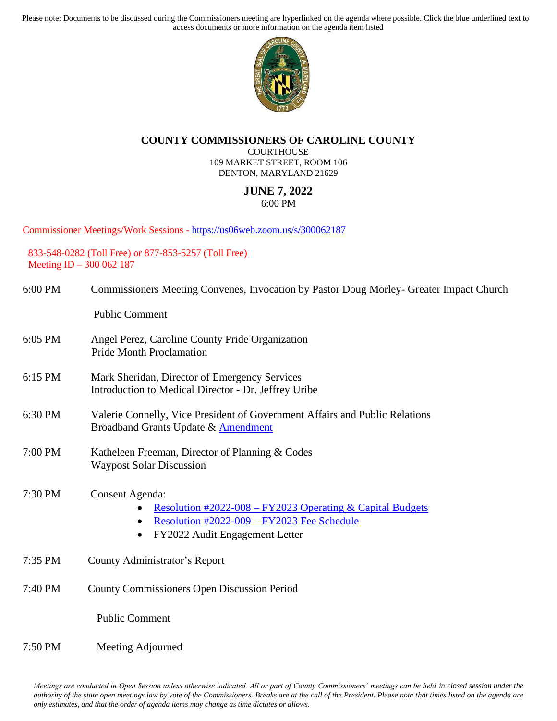Please note: Documents to be discussed during the Commissioners meeting are hyperlinked on the agenda where possible. Click the blue underlined text to access documents or more information on the agenda item listed



## **COUNTY COMMISSIONERS OF CAROLINE COUNTY**

**COURTHOUSE** 109 MARKET STREET, ROOM 106 DENTON, MARYLAND 21629

## **JUNE 7, 2022** 6:00 PM

Commissioner Meetings/Work Sessions - <https://us06web.zoom.us/s/300062187>

833-548-0282 (Toll Free) or 877-853-5257 (Toll Free) Meeting ID – 300 062 187

| 6:00 PM | Commissioners Meeting Convenes, Invocation by Pastor Doug Morley- Greater Impact Church |  |  |
|---------|-----------------------------------------------------------------------------------------|--|--|
|         |                                                                                         |  |  |

Public Comment

- 6:05 PM Angel Perez, Caroline County Pride Organization Pride Month Proclamation
- 6:15 PM Mark Sheridan, Director of Emergency Services Introduction to Medical Director - Dr. Jeffrey Uribe
- 6:30 PM Valerie Connelly, Vice President of Government Affairs and Public Relations Broadband Grants Update & [Amendment](https://www.carolinemd.org/DocumentCenter/View/7187/Caroline-Choptank_BB-MOU-Amend-1_6-3-22_VC)
- 7:00 PM Katheleen Freeman, Director of Planning & Codes Waypost Solar Discussion
- 7:30 PM Consent Agenda:
	- [Resolution #2022-008](https://www.carolinemd.org/DocumentCenter/View/7157/2022-008-FY2023-Operating-and-Capital-Budgets) FY2023 Operating & Capital Budgets
	- [Resolution #2022-009](https://www.carolinemd.org/DocumentCenter/View/7158/2022-009-FY2023-Fee-Schedule) FY2023 Fee Schedule
	- FY2022 Audit Engagement Letter
- 7:35 PM County Administrator's Report
- 7:40 PM County Commissioners Open Discussion Period

Public Comment

7:50 PM Meeting Adjourned